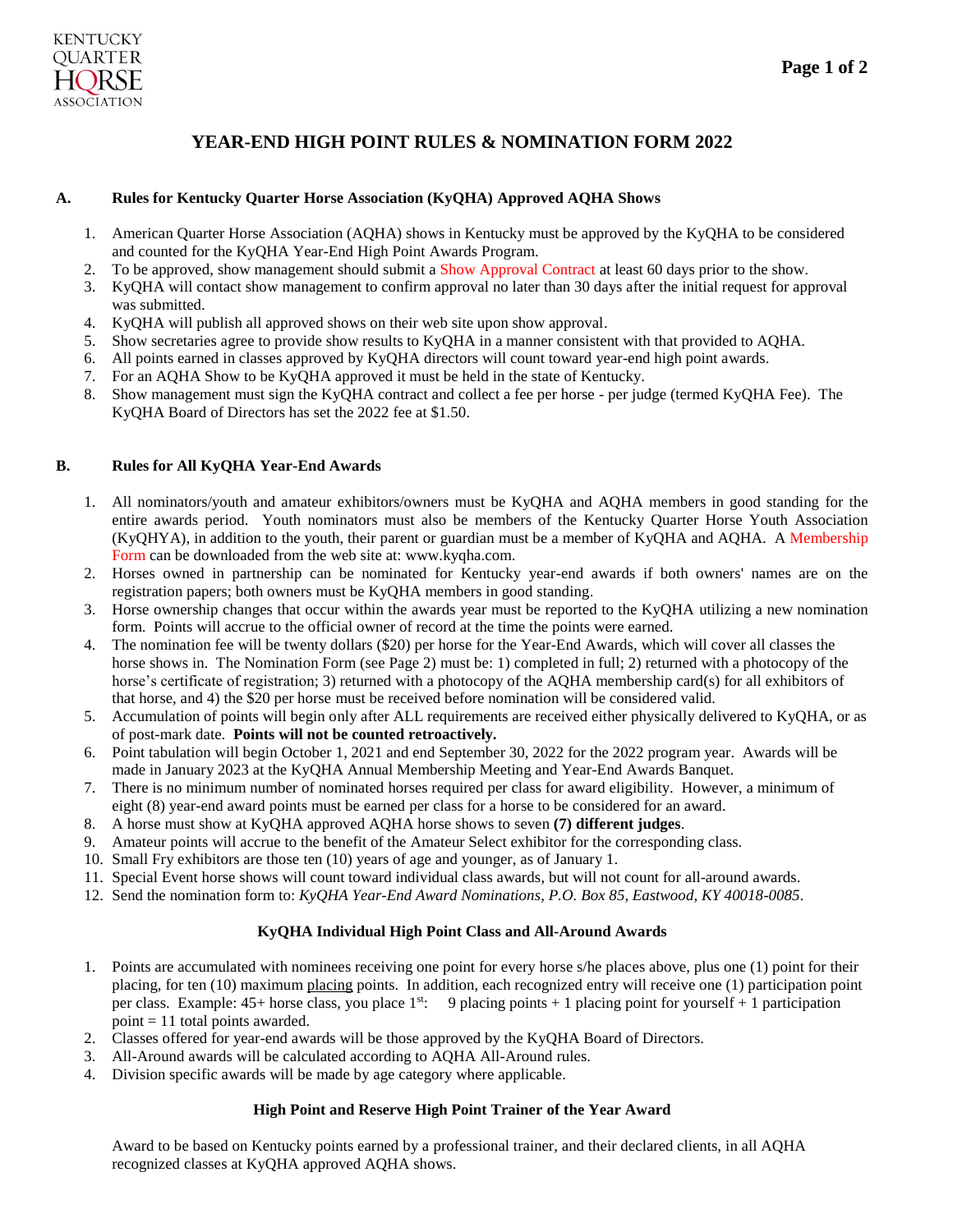## **YEAR-END HIGH POINT RULES & NOMINATION FORM 2022**

#### **A. Rules for Kentucky Quarter Horse Association (KyQHA) Approved AQHA Shows**

- 1. American Quarter Horse Association (AQHA) shows in Kentucky must be approved by the KyQHA to be considered and counted for the KyQHA Year-End High Point Awards Program.
- 2. To be approved, show management should submit a Show Approval Contract at least 60 days prior to the show.
- 3. KyQHA will contact show management to confirm approval no later than 30 days after the initial request for approval was submitted.
- 4. KyQHA will publish all approved shows on their web site upon show approval.
- 5. Show secretaries agree to provide show results to KyQHA in a manner consistent with that provided to AQHA.
- 6. All points earned in classes approved by KyQHA directors will count toward year-end high point awards.
- 7. For an AQHA Show to be KyQHA approved it must be held in the state of Kentucky.
- 8. Show management must sign the KyQHA contract and collect a fee per horse per judge (termed KyQHA Fee). The KyQHA Board of Directors has set the 2022 fee at \$1.50.

#### **B. Rules for All KyQHA Year-End Awards**

- 1. All nominators/youth and amateur exhibitors/owners must be KyQHA and AQHA members in good standing for the entire awards period. Youth nominators must also be members of the Kentucky Quarter Horse Youth Association (KyQHYA), in addition to the youth, their parent or guardian must be a member of KyQHA and AQHA. A Membership Form can be downloaded from the web site at: www.kyqha.com.
- 2. Horses owned in partnership can be nominated for Kentucky year-end awards if both owners' names are on the registration papers; both owners must be KyQHA members in good standing.
- 3. Horse ownership changes that occur within the awards year must be reported to the KyQHA utilizing a new nomination form. Points will accrue to the official owner of record at the time the points were earned.
- 4. The nomination fee will be twenty dollars (\$20) per horse for the Year-End Awards, which will cover all classes the horse shows in. The Nomination Form (see Page 2) must be: 1) completed in full; 2) returned with a photocopy of the horse's certificate of registration; 3) returned with a photocopy of the AQHA membership card(s) for all exhibitors of that horse, and 4) the \$20 per horse must be received before nomination will be considered valid.
- 5. Accumulation of points will begin only after ALL requirements are received either physically delivered to KyQHA, or as of post-mark date. **Points will not be counted retroactively.**
- 6. Point tabulation will begin October 1, 2021 and end September 30, 2022 for the 2022 program year. Awards will be made in January 2023 at the KyQHA Annual Membership Meeting and Year-End Awards Banquet.
- 7. There is no minimum number of nominated horses required per class for award eligibility. However, a minimum of eight (8) year-end award points must be earned per class for a horse to be considered for an award.
- 8. A horse must show at KyQHA approved AQHA horse shows to seven **(7) different judges**.
- 9. Amateur points will accrue to the benefit of the Amateur Select exhibitor for the corresponding class.
- 10. Small Fry exhibitors are those ten (10) years of age and younger, as of January 1.
- 11. Special Event horse shows will count toward individual class awards, but will not count for all-around awards.
- 12. Send the nomination form to: *KyQHA Year-End Award Nominations, P.O. Box 85, Eastwood, KY 40018-0085*.

#### **KyQHA Individual High Point Class and All-Around Awards**

- 1. Points are accumulated with nominees receiving one point for every horse s/he places above, plus one (1) point for their placing, for ten (10) maximum placing points. In addition, each recognized entry will receive one (1) participation point per class. Example:  $45+$  horse class, you place  $1^{st}$ : 9 placing points + 1 placing point for yourself + 1 participation point  $= 11$  total points awarded.
- 2. Classes offered for year-end awards will be those approved by the KyQHA Board of Directors.
- 3. All-Around awards will be calculated according to AQHA All-Around rules.
- 4. Division specific awards will be made by age category where applicable.

#### **High Point and Reserve High Point Trainer of the Year Award**

Award to be based on Kentucky points earned by a professional trainer, and their declared clients, in all AQHA recognized classes at KyQHA approved AQHA shows.